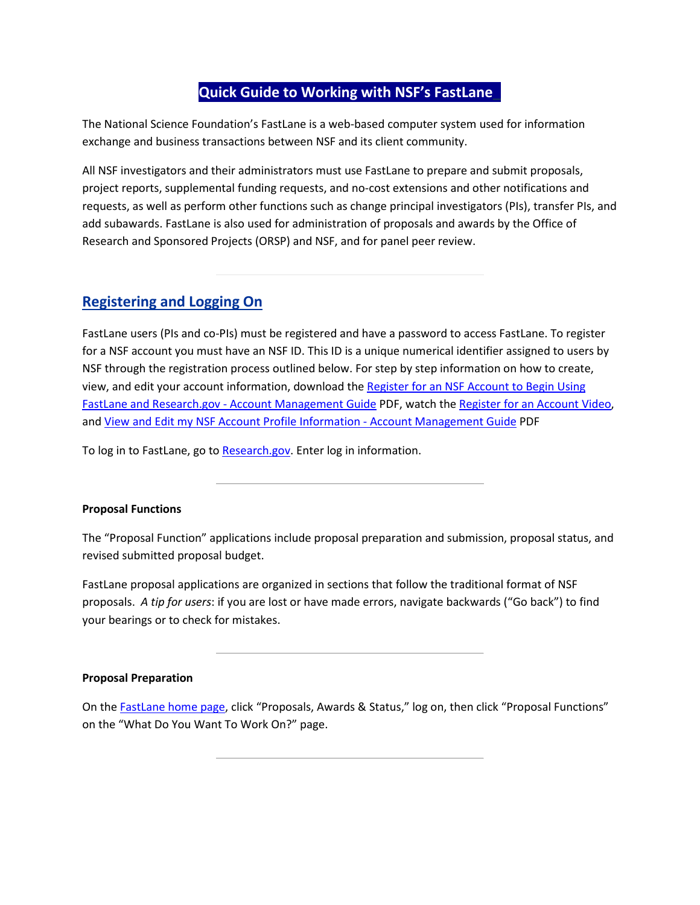## **Quick Guide to Working with NSF's FastLane\_**

The National Science Foundation's FastLane is a web-based computer system used for information exchange and business transactions between NSF and its client community.

All NSF investigators and their administrators must use FastLane to prepare and submit proposals, project reports, supplemental funding requests, and no-cost extensions and other notifications and requests, as well as perform other functions such as change principal investigators (PIs), transfer PIs, and add subawards. FastLane is also used for administration of proposals and awards by the Office of Research and Sponsored Projects (ORSP) and NSF, and for panel peer review.

# **Registering and Logging On**

FastLane users (PIs and co-PIs) must be registered and have a password to access FastLane. To register for a NSF account you must have an NSF ID. This ID is a unique numerical identifier assigned to users by NSF through the registration process outlined below. For step by step information on how to create, view, and edit your account information, download the [Register for an NSF Account to Begin Using](https://www.research.gov/common/attachment/Desktop/Single_ID_Help.pdf#page=1)  FastLane and Research.gov - [Account Management Guide](https://www.research.gov/common/attachment/Desktop/Single_ID_Help.pdf#page=1) PDF, watch th[e Register for an Account Video,](https://www.research.gov/common/attachment/Desktop/AcctMgmtSIDVideo1.html) and [View and Edit my NSF Account Profile Information -](https://www.research.gov/common/attachment/Desktop/Single_ID_Help.pdf#page=8) Account Management Guide PDF

To log in to FastLane, go to [Research.gov.](https://identity.research.gov/sso/idpssoinit?NameIDFormat=urn:oasis:names:tc:SAML:2.0:nameid-format:transient&metaAlias=/research/idp&spEntityID=https://www.research.gov/sso/sp&binding=urn:oasis:names:tc:SAML:2.0:bindings:HTTP-POST&RelayState=https://www.research.gov/research-portal/redirect.jsp?TARGET=https%253A%252F%252Fwww.research.gov%252Fresearch-portal%252Fappmanager%252Fbase%252Fdesktop%253F_nfpb%253Dtrue%2526_eventName%253DexecuteDefaultSearchEvent_gapps) Enter log in information.

### **Proposal Functions**

The "Proposal Function" applications include proposal preparation and submission, proposal status, and revised submitted proposal budget.

FastLane proposal applications are organized in sections that follow the traditional format of NSF proposals. *A tip for users*: if you are lost or have made errors, navigate backwards ("Go back") to find your bearings or to check for mistakes.

#### **Proposal Preparation**

On the [FastLane home page,](https://www.fastlane.nsf.gov/) click "Proposals, Awards & Status," log on, then click "Proposal Functions" on the "What Do You Want To Work On?" page.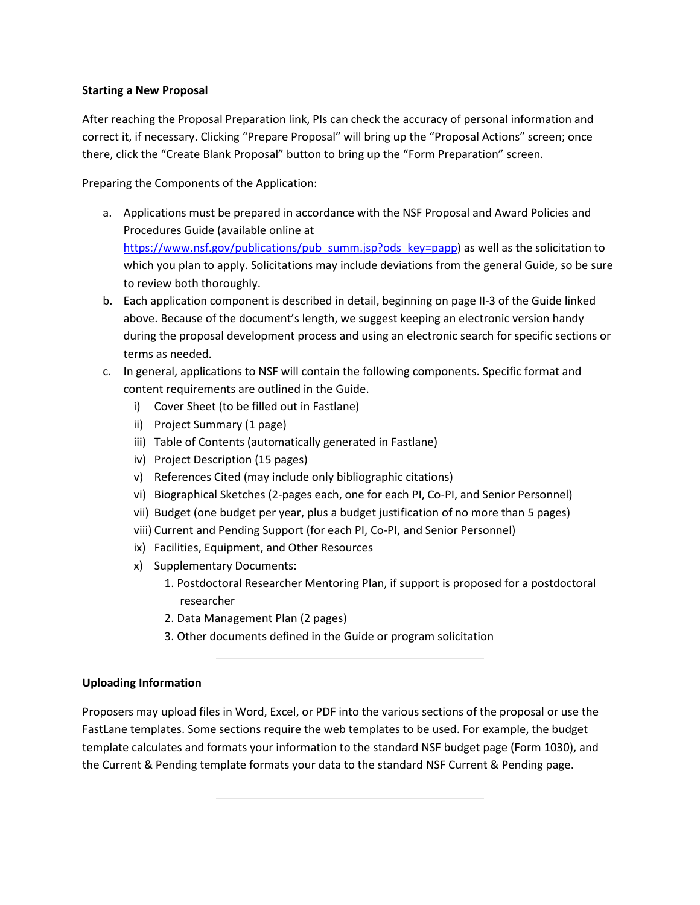### **Starting a New Proposal**

After reaching the Proposal Preparation link, PIs can check the accuracy of personal information and correct it, if necessary. Clicking "Prepare Proposal" will bring up the "Proposal Actions" screen; once there, click the "Create Blank Proposal" button to bring up the "Form Preparation" screen.

Preparing the Components of the Application:

- a. Applications must be prepared in accordance with the NSF Proposal and Award Policies and Procedures Guide (available online at [https://www.nsf.gov/publications/pub\\_summ.jsp?ods\\_key=papp\)](https://www.nsf.gov/publications/pub_summ.jsp?ods_key=papp) as well as the solicitation to which you plan to apply. Solicitations may include deviations from the general Guide, so be sure to review both thoroughly.
- b. Each application component is described in detail, beginning on page II-3 of the Guide linked above. Because of the document's length, we suggest keeping an electronic version handy during the proposal development process and using an electronic search for specific sections or terms as needed.
- c. In general, applications to NSF will contain the following components. Specific format and content requirements are outlined in the Guide.
	- i) Cover Sheet (to be filled out in Fastlane)
	- ii) Project Summary (1 page)
	- iii) Table of Contents (automatically generated in Fastlane)
	- iv) Project Description (15 pages)
	- v) References Cited (may include only bibliographic citations)
	- vi) Biographical Sketches (2-pages each, one for each PI, Co-PI, and Senior Personnel)
	- vii) Budget (one budget per year, plus a budget justification of no more than 5 pages)
	- viii) Current and Pending Support (for each PI, Co-PI, and Senior Personnel)
	- ix) Facilities, Equipment, and Other Resources
	- x) Supplementary Documents:
		- 1. Postdoctoral Researcher Mentoring Plan, if support is proposed for a postdoctoral researcher
		- 2. Data Management Plan (2 pages)
		- 3. Other documents defined in the Guide or program solicitation

### **Uploading Information**

Proposers may upload files in Word, Excel, or PDF into the various sections of the proposal or use the FastLane templates. Some sections require the web templates to be used. For example, the budget template calculates and formats your information to the standard NSF budget page (Form 1030), and the Current & Pending template formats your data to the standard NSF Current & Pending page.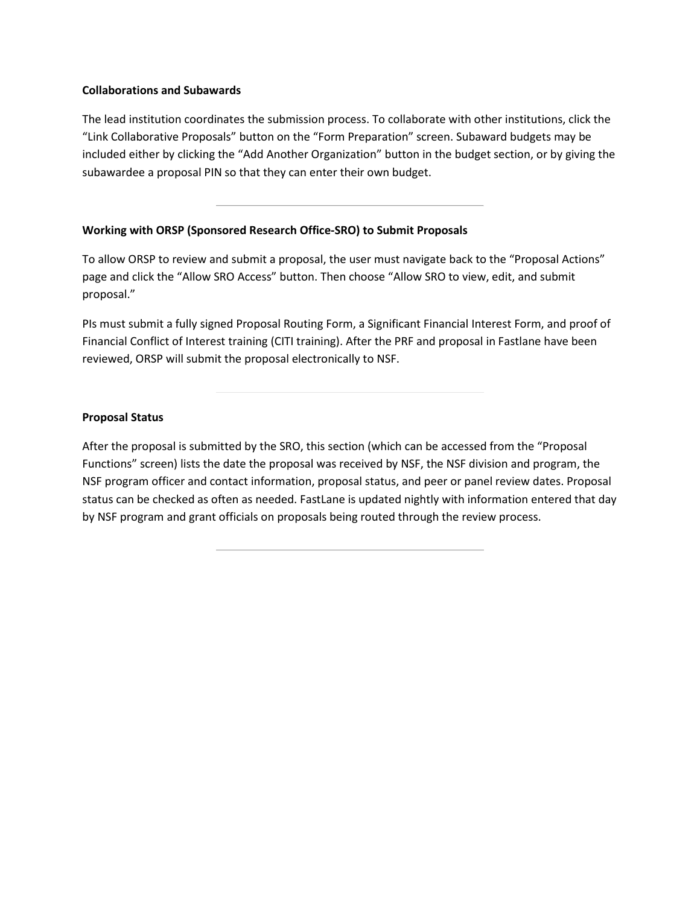#### **Collaborations and Subawards**

The lead institution coordinates the submission process. To collaborate with other institutions, click the "Link Collaborative Proposals" button on the "Form Preparation" screen. Subaward budgets may be included either by clicking the "Add Another Organization" button in the budget section, or by giving the subawardee a proposal PIN so that they can enter their own budget.

### **Working with ORSP (Sponsored Research Office-SRO) to Submit Proposals**

To allow ORSP to review and submit a proposal, the user must navigate back to the "Proposal Actions" page and click the "Allow SRO Access" button. Then choose "Allow SRO to view, edit, and submit proposal."

PIs must submit a fully signed Proposal Routing Form, a Significant Financial Interest Form, and proof of Financial Conflict of Interest training (CITI training). After the PRF and proposal in Fastlane have been reviewed, ORSP will submit the proposal electronically to NSF.

## **Proposal Status**

After the proposal is submitted by the SRO, this section (which can be accessed from the "Proposal Functions" screen) lists the date the proposal was received by NSF, the NSF division and program, the NSF program officer and contact information, proposal status, and peer or panel review dates. Proposal status can be checked as often as needed. FastLane is updated nightly with information entered that day by NSF program and grant officials on proposals being routed through the review process.